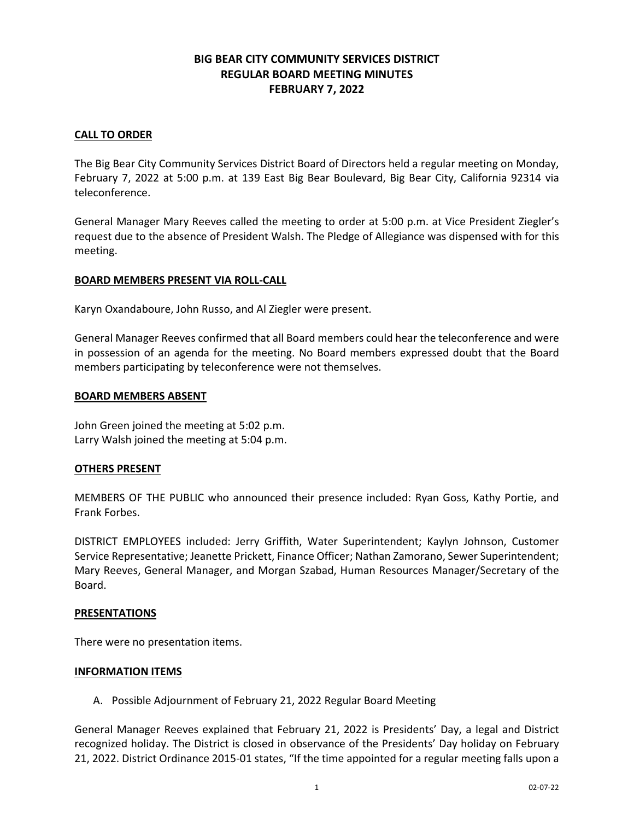# **BIG BEAR CITY COMMUNITY SERVICES DISTRICT REGULAR BOARD MEETING MINUTES FEBRUARY 7, 2022**

## **CALL TO ORDER**

The Big Bear City Community Services District Board of Directors held a regular meeting on Monday, February 7, 2022 at 5:00 p.m. at 139 East Big Bear Boulevard, Big Bear City, California 92314 via teleconference.

General Manager Mary Reeves called the meeting to order at 5:00 p.m. at Vice President Ziegler's request due to the absence of President Walsh. The Pledge of Allegiance was dispensed with for this meeting.

#### **BOARD MEMBERS PRESENT VIA ROLL-CALL**

Karyn Oxandaboure, John Russo, and Al Ziegler were present.

General Manager Reeves confirmed that all Board members could hear the teleconference and were in possession of an agenda for the meeting. No Board members expressed doubt that the Board members participating by teleconference were not themselves.

### **BOARD MEMBERS ABSENT**

John Green joined the meeting at 5:02 p.m. Larry Walsh joined the meeting at 5:04 p.m.

## **OTHERS PRESENT**

MEMBERS OF THE PUBLIC who announced their presence included: Ryan Goss, Kathy Portie, and Frank Forbes.

DISTRICT EMPLOYEES included: Jerry Griffith, Water Superintendent; Kaylyn Johnson, Customer Service Representative; Jeanette Prickett, Finance Officer; Nathan Zamorano, Sewer Superintendent; Mary Reeves, General Manager, and Morgan Szabad, Human Resources Manager/Secretary of the Board.

#### **PRESENTATIONS**

There were no presentation items.

#### **INFORMATION ITEMS**

A. Possible Adjournment of February 21, 2022 Regular Board Meeting

General Manager Reeves explained that February 21, 2022 is Presidents' Day, a legal and District recognized holiday. The District is closed in observance of the Presidents' Day holiday on February 21, 2022. District Ordinance 2015-01 states, "If the time appointed for a regular meeting falls upon a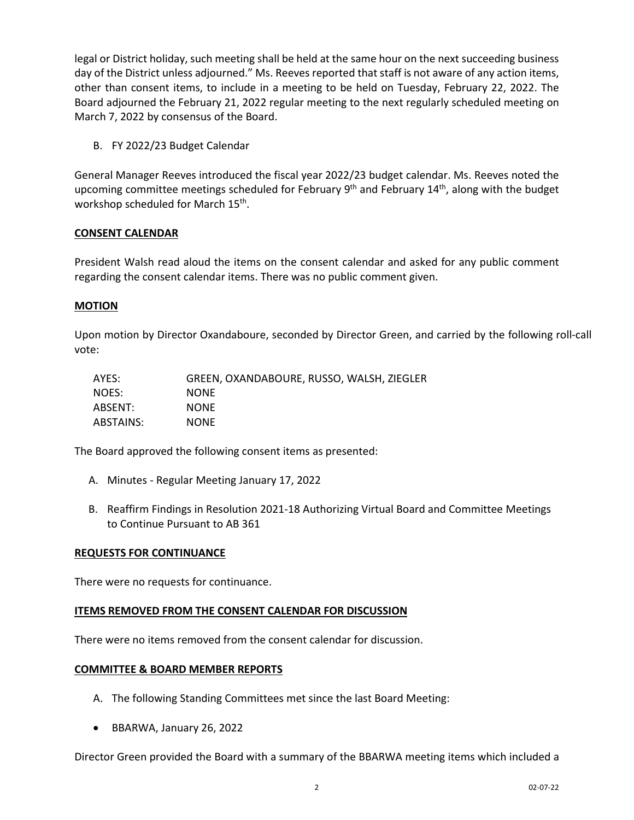legal or District holiday, such meeting shall be held at the same hour on the next succeeding business day of the District unless adjourned." Ms. Reeves reported that staff is not aware of any action items, other than consent items, to include in a meeting to be held on Tuesday, February 22, 2022. The Board adjourned the February 21, 2022 regular meeting to the next regularly scheduled meeting on March 7, 2022 by consensus of the Board.

B. FY 2022/23 Budget Calendar

General Manager Reeves introduced the fiscal year 2022/23 budget calendar. Ms. Reeves noted the upcoming committee meetings scheduled for February  $9<sup>th</sup>$  and February  $14<sup>th</sup>$ , along with the budget workshop scheduled for March 15th.

## **CONSENT CALENDAR**

President Walsh read aloud the items on the consent calendar and asked for any public comment regarding the consent calendar items. There was no public comment given.

## **MOTION**

Upon motion by Director Oxandaboure, seconded by Director Green, and carried by the following roll-call vote:

| AYES:     | GREEN, OXANDABOURE, RUSSO, WALSH, ZIEGLER |
|-----------|-------------------------------------------|
| NOES:     | <b>NONE</b>                               |
| ABSENT:   | <b>NONE</b>                               |
| ABSTAINS: | <b>NONE</b>                               |

The Board approved the following consent items as presented:

- A. Minutes Regular Meeting January 17, 2022
- B. Reaffirm Findings in Resolution 2021-18 Authorizing Virtual Board and Committee Meetings to Continue Pursuant to AB 361

#### **REQUESTS FOR CONTINUANCE**

There were no requests for continuance.

## **ITEMS REMOVED FROM THE CONSENT CALENDAR FOR DISCUSSION**

There were no items removed from the consent calendar for discussion.

#### **COMMITTEE & BOARD MEMBER REPORTS**

- A. The following Standing Committees met since the last Board Meeting:
- BBARWA, January 26, 2022

Director Green provided the Board with a summary of the BBARWA meeting items which included a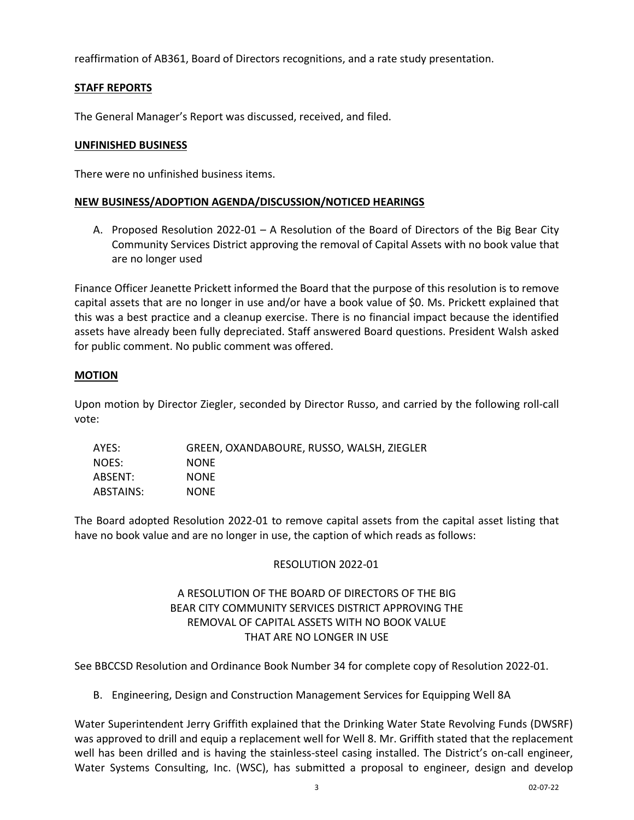reaffirmation of AB361, Board of Directors recognitions, and a rate study presentation.

### **STAFF REPORTS**

The General Manager's Report was discussed, received, and filed.

#### **UNFINISHED BUSINESS**

There were no unfinished business items.

#### **NEW BUSINESS/ADOPTION AGENDA/DISCUSSION/NOTICED HEARINGS**

A. Proposed Resolution 2022-01 – A Resolution of the Board of Directors of the Big Bear City Community Services District approving the removal of Capital Assets with no book value that are no longer used

Finance Officer Jeanette Prickett informed the Board that the purpose of this resolution is to remove capital assets that are no longer in use and/or have a book value of \$0. Ms. Prickett explained that this was a best practice and a cleanup exercise. There is no financial impact because the identified assets have already been fully depreciated. Staff answered Board questions. President Walsh asked for public comment. No public comment was offered.

#### **MOTION**

Upon motion by Director Ziegler, seconded by Director Russo, and carried by the following roll-call vote:

| AYES:     | GREEN, OXANDABOURE, RUSSO, WALSH, ZIEGLER |
|-----------|-------------------------------------------|
| NOES:     | <b>NONE</b>                               |
| ABSENT:   | <b>NONE</b>                               |
| ABSTAINS: | <b>NONE</b>                               |

The Board adopted Resolution 2022-01 to remove capital assets from the capital asset listing that have no book value and are no longer in use, the caption of which reads as follows:

#### RESOLUTION 2022-01

# A RESOLUTION OF THE BOARD OF DIRECTORS OF THE BIG BEAR CITY COMMUNITY SERVICES DISTRICT APPROVING THE REMOVAL OF CAPITAL ASSETS WITH NO BOOK VALUE THAT ARE NO LONGER IN USE

See BBCCSD Resolution and Ordinance Book Number 34 for complete copy of Resolution 2022-01.

B. Engineering, Design and Construction Management Services for Equipping Well 8A

Water Superintendent Jerry Griffith explained that the Drinking Water State Revolving Funds (DWSRF) was approved to drill and equip a replacement well for Well 8. Mr. Griffith stated that the replacement well has been drilled and is having the stainless-steel casing installed. The District's on-call engineer, Water Systems Consulting, Inc. (WSC), has submitted a proposal to engineer, design and develop